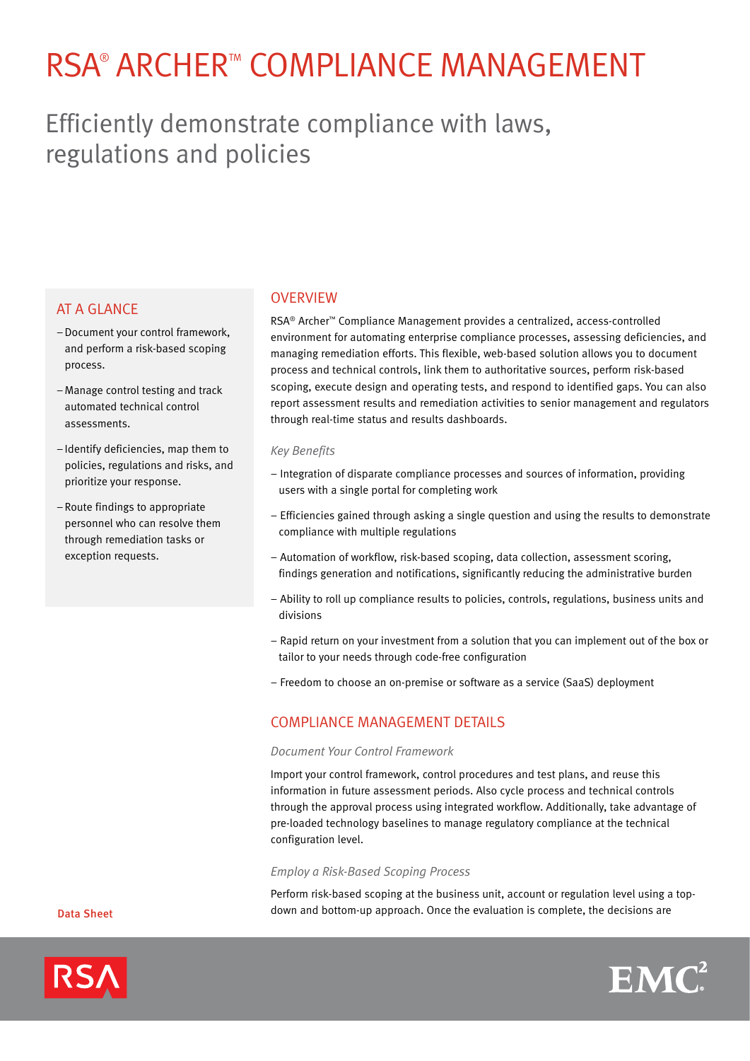# RSA® ARCHER™ COMPLIANCE MANAGEMENT

# Efficiently demonstrate compliance with laws, regulations and policies

# **AT A GLANCE**

- –Document your control framework, and perform a risk-based scoping process.
- –Manage control testing and track automated technical control assessments.
- Identify deficiencies, map them to policies, regulations and risks, and prioritize your response.
- –Route findings to appropriate personnel who can resolve them through remediation tasks or exception requests.

### **OVERVIEW**

RSA® Archer™ Compliance Management provides a centralized, access-controlled environment for automating enterprise compliance processes, assessing deficiencies, and managing remediation efforts. This flexible, web-based solution allows you to document process and technical controls, link them to authoritative sources, perform risk-based scoping, execute design and operating tests, and respond to identified gaps. You can also report assessment results and remediation activities to senior management and regulators through real-time status and results dashboards.

#### *Key Benefits*

- Integration of disparate compliance processes and sources of information, providing users with a single portal for completing work
- Efficiencies gained through asking a single question and using the results to demonstrate compliance with multiple regulations
- Automation of workflow, risk-based scoping, data collection, assessment scoring, findings generation and notifications, significantly reducing the administrative burden
- Ability to roll up compliance results to policies, controls, regulations, business units and divisions
- Rapid return on your investment from a solution that you can implement out of the box or tailor to your needs through code-free configuration
- Freedom to choose an on-premise or software as a service (SaaS) deployment

## COMPLIANCE MANAGEMENT DETAILS

#### *Document Your Control Framework*

Import your control framework, control procedures and test plans, and reuse this information in future assessment periods. Also cycle process and technical controls through the approval process using integrated workflow. Additionally, take advantage of pre-loaded technology baselines to manage regulatory compliance at the technical configuration level.

#### *Employ a Risk-Based Scoping Process*

Perform risk-based scoping at the business unit, account or regulation level using a topdown and bottom-up approach. Once the evaluation is complete, the decisions are



Data Sheet